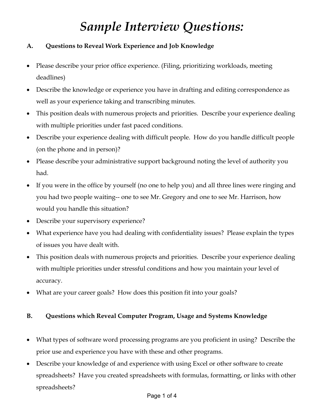# *Sample Interview Questions:*

## **A. Questions to Reveal Work Experience and Job Knowledge**

- Please describe your prior office experience. (Filing, prioritizing workloads, meeting deadlines)
- Describe the knowledge or experience you have in drafting and editing correspondence as well as your experience taking and transcribing minutes.
- This position deals with numerous projects and priorities. Describe your experience dealing with multiple priorities under fast paced conditions.
- Describe your experience dealing with difficult people. How do you handle difficult people (on the phone and in person)?
- Please describe your administrative support background noting the level of authority you had.
- If you were in the office by yourself (no one to help you) and all three lines were ringing and you had two people waiting-- one to see Mr. Gregory and one to see Mr. Harrison, how would you handle this situation?
- Describe your supervisory experience?
- What experience have you had dealing with confidentiality issues? Please explain the types of issues you have dealt with.
- This position deals with numerous projects and priorities. Describe your experience dealing with multiple priorities under stressful conditions and how you maintain your level of accuracy.
- What are your career goals? How does this position fit into your goals?

### **B. Questions which Reveal Computer Program, Usage and Systems Knowledge**

- What types of software word processing programs are you proficient in using? Describe the prior use and experience you have with these and other programs.
- Describe your knowledge of and experience with using Excel or other software to create spreadsheets? Have you created spreadsheets with formulas, formatting, or links with other spreadsheets?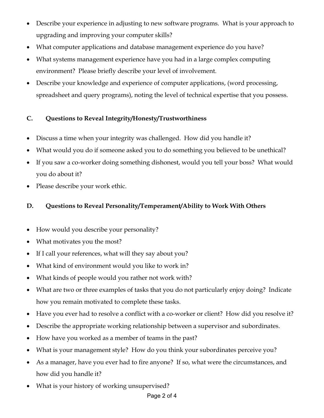- Describe your experience in adjusting to new software programs. What is your approach to upgrading and improving your computer skills?
- What computer applications and database management experience do you have?
- What systems management experience have you had in a large complex computing environment? Please briefly describe your level of involvement.
- Describe your knowledge and experience of computer applications, (word processing, spreadsheet and query programs), noting the level of technical expertise that you possess.

## **C. Questions to Reveal Integrity/Honesty/Trustworthiness**

- Discuss a time when your integrity was challenged. How did you handle it?
- What would you do if someone asked you to do something you believed to be unethical?
- If you saw a co-worker doing something dishonest, would you tell your boss? What would you do about it?
- Please describe your work ethic.

## **D. Questions to Reveal Personality/Temperament/Ability to Work With Others**

- How would you describe your personality?
- What motivates you the most?
- If I call your references, what will they say about you?
- What kind of environment would you like to work in?
- What kinds of people would you rather not work with?
- What are two or three examples of tasks that you do not particularly enjoy doing? Indicate how you remain motivated to complete these tasks.
- Have you ever had to resolve a conflict with a co-worker or client? How did you resolve it?
- Describe the appropriate working relationship between a supervisor and subordinates.
- How have you worked as a member of teams in the past?
- What is your management style? How do you think your subordinates perceive you?
- As a manager, have you ever had to fire anyone? If so, what were the circumstances, and how did you handle it?
- What is your history of working unsupervised?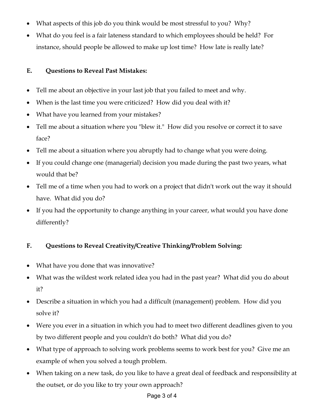- What aspects of this job do you think would be most stressful to you? Why?
- What do you feel is a fair lateness standard to which employees should be held? For instance, should people be allowed to make up lost time? How late is really late?

## **E. Questions to Reveal Past Mistakes:**

- Tell me about an objective in your last job that you failed to meet and why.
- When is the last time you were criticized? How did you deal with it?
- What have you learned from your mistakes?
- Tell me about a situation where you "blew it." How did you resolve or correct it to save face?
- Tell me about a situation where you abruptly had to change what you were doing.
- If you could change one (managerial) decision you made during the past two years, what would that be?
- Tell me of a time when you had to work on a project that didn't work out the way it should have. What did you do?
- If you had the opportunity to change anything in your career, what would you have done differently?

## **F. Questions to Reveal Creativity/Creative Thinking/Problem Solving:**

- What have you done that was innovative?
- What was the wildest work related idea you had in the past year? What did you do about it?
- Describe a situation in which you had a difficult (management) problem. How did you solve it?
- Were you ever in a situation in which you had to meet two different deadlines given to you by two different people and you couldn't do both? What did you do?
- What type of approach to solving work problems seems to work best for you? Give me an example of when you solved a tough problem.
- When taking on a new task, do you like to have a great deal of feedback and responsibility at the outset, or do you like to try your own approach?